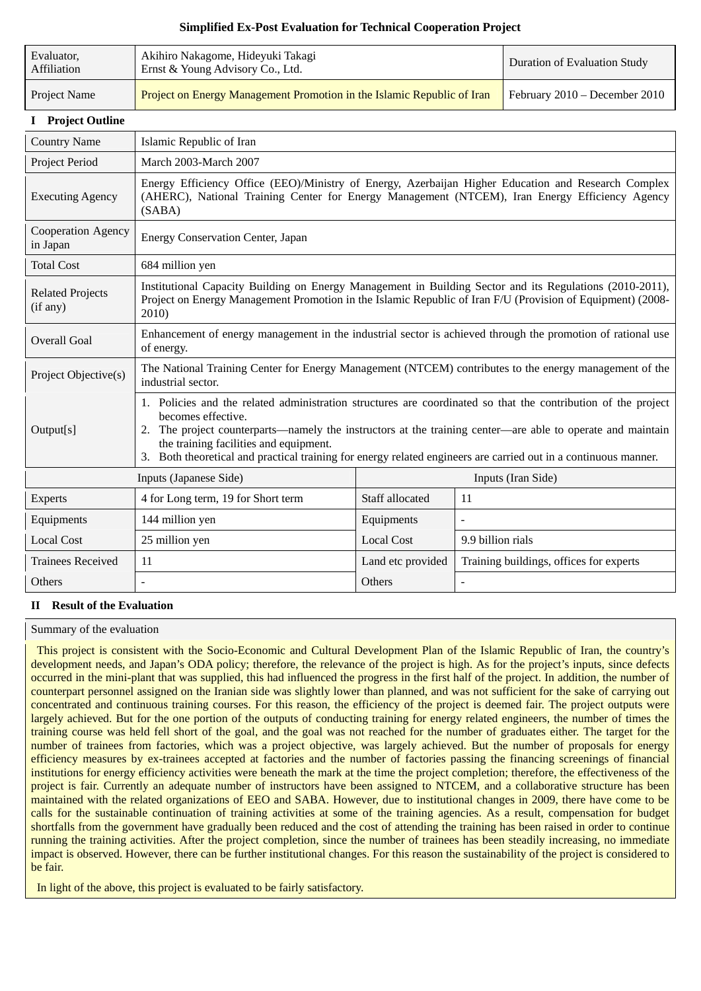# **Simplified Ex-Post Evaluation for Technical Cooperation Project**

| Evaluator,<br>Affiliation           | Akihiro Nakagome, Hideyuki Takagi<br>Ernst & Young Advisory Co., Ltd.                                                                                                                                                                                                                                                                                                                                          |                    |                               | <b>Duration of Evaluation Study</b>     |
|-------------------------------------|----------------------------------------------------------------------------------------------------------------------------------------------------------------------------------------------------------------------------------------------------------------------------------------------------------------------------------------------------------------------------------------------------------------|--------------------|-------------------------------|-----------------------------------------|
| Project Name                        | Project on Energy Management Promotion in the Islamic Republic of Iran                                                                                                                                                                                                                                                                                                                                         |                    | February 2010 - December 2010 |                                         |
| <b>I</b> Project Outline            |                                                                                                                                                                                                                                                                                                                                                                                                                |                    |                               |                                         |
| <b>Country Name</b>                 | Islamic Republic of Iran                                                                                                                                                                                                                                                                                                                                                                                       |                    |                               |                                         |
| Project Period                      | March 2003-March 2007                                                                                                                                                                                                                                                                                                                                                                                          |                    |                               |                                         |
| <b>Executing Agency</b>             | Energy Efficiency Office (EEO)/Ministry of Energy, Azerbaijan Higher Education and Research Complex<br>(AHERC), National Training Center for Energy Management (NTCEM), Iran Energy Efficiency Agency<br>(SABA)                                                                                                                                                                                                |                    |                               |                                         |
| Cooperation Agency<br>in Japan      | <b>Energy Conservation Center, Japan</b>                                                                                                                                                                                                                                                                                                                                                                       |                    |                               |                                         |
| <b>Total Cost</b>                   | 684 million yen                                                                                                                                                                                                                                                                                                                                                                                                |                    |                               |                                         |
| <b>Related Projects</b><br>(if any) | Institutional Capacity Building on Energy Management in Building Sector and its Regulations (2010-2011),<br>Project on Energy Management Promotion in the Islamic Republic of Iran F/U (Provision of Equipment) (2008-<br>2010)                                                                                                                                                                                |                    |                               |                                         |
| <b>Overall Goal</b>                 | Enhancement of energy management in the industrial sector is achieved through the promotion of rational use<br>of energy.                                                                                                                                                                                                                                                                                      |                    |                               |                                         |
| Project Objective(s)                | The National Training Center for Energy Management (NTCEM) contributes to the energy management of the<br>industrial sector.                                                                                                                                                                                                                                                                                   |                    |                               |                                         |
| Output[s]                           | 1. Policies and the related administration structures are coordinated so that the contribution of the project<br>becomes effective.<br>2. The project counterparts—namely the instructors at the training center—are able to operate and maintain<br>the training facilities and equipment.<br>3. Both theoretical and practical training for energy related engineers are carried out in a continuous manner. |                    |                               |                                         |
| Inputs (Japanese Side)              |                                                                                                                                                                                                                                                                                                                                                                                                                | Inputs (Iran Side) |                               |                                         |
| Experts                             | 4 for Long term, 19 for Short term                                                                                                                                                                                                                                                                                                                                                                             | Staff allocated    | 11                            |                                         |
| Equipments                          | 144 million yen                                                                                                                                                                                                                                                                                                                                                                                                | Equipments         |                               |                                         |
| <b>Local Cost</b>                   | 25 million yen                                                                                                                                                                                                                                                                                                                                                                                                 | <b>Local Cost</b>  | 9.9 billion rials             |                                         |
| <b>Trainees Received</b>            | 11                                                                                                                                                                                                                                                                                                                                                                                                             | Land etc provided  |                               | Training buildings, offices for experts |
| Others                              |                                                                                                                                                                                                                                                                                                                                                                                                                | Others             | $\overline{a}$                |                                         |

## **II Result of the Evaluation**

### Summary of the evaluation

This project is consistent with the Socio-Economic and Cultural Development Plan of the Islamic Republic of Iran, the country's development needs, and Japan's ODA policy; therefore, the relevance of the project is high. As for the project's inputs, since defects occurred in the mini-plant that was supplied, this had influenced the progress in the first half of the project. In addition, the number of counterpart personnel assigned on the Iranian side was slightly lower than planned, and was not sufficient for the sake of carrying out concentrated and continuous training courses. For this reason, the efficiency of the project is deemed fair. The project outputs were largely achieved. But for the one portion of the outputs of conducting training for energy related engineers, the number of times the training course was held fell short of the goal, and the goal was not reached for the number of graduates either. The target for the number of trainees from factories, which was a project objective, was largely achieved. But the number of proposals for energy efficiency measures by ex-trainees accepted at factories and the number of factories passing the financing screenings of financial institutions for energy efficiency activities were beneath the mark at the time the project completion; therefore, the effectiveness of the project is fair. Currently an adequate number of instructors have been assigned to NTCEM, and a collaborative structure has been maintained with the related organizations of EEO and SABA. However, due to institutional changes in 2009, there have come to be calls for the sustainable continuation of training activities at some of the training agencies. As a result, compensation for budget shortfalls from the government have gradually been reduced and the cost of attending the training has been raised in order to continue running the training activities. After the project completion, since the number of trainees has been steadily increasing, no immediate impact is observed. However, there can be further institutional changes. For this reason the sustainability of the project is considered to be fair.

In light of the above, this project is evaluated to be fairly satisfactory.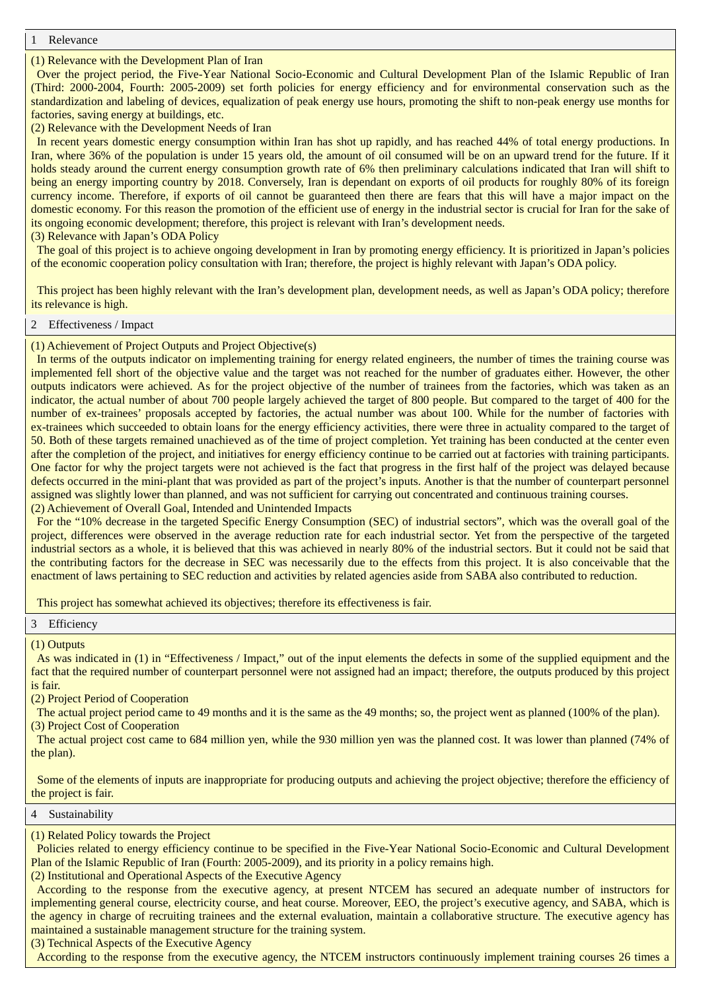**Relevance** 

### (1) Relevance with the Development Plan of Iran

Over the project period, the Five-Year National Socio-Economic and Cultural Development Plan of the Islamic Republic of Iran (Third: 2000-2004, Fourth: 2005-2009) set forth policies for energy efficiency and for environmental conservation such as the standardization and labeling of devices, equalization of peak energy use hours, promoting the shift to non-peak energy use months for factories, saving energy at buildings, etc.

(2) Relevance with the Development Needs of Iran

In recent years domestic energy consumption within Iran has shot up rapidly, and has reached 44% of total energy productions. In Iran, where 36% of the population is under 15 years old, the amount of oil consumed will be on an upward trend for the future. If it holds steady around the current energy consumption growth rate of 6% then preliminary calculations indicated that Iran will shift to being an energy importing country by 2018. Conversely, Iran is dependant on exports of oil products for roughly 80% of its foreign currency income. Therefore, if exports of oil cannot be guaranteed then there are fears that this will have a major impact on the domestic economy. For this reason the promotion of the efficient use of energy in the industrial sector is crucial for Iran for the sake of its ongoing economic development; therefore, this project is relevant with Iran's development needs.

(3) Relevance with Japan's ODA Policy

The goal of this project is to achieve ongoing development in Iran by promoting energy efficiency. It is prioritized in Japan's policies of the economic cooperation policy consultation with Iran; therefore, the project is highly relevant with Japan's ODA policy.

This project has been highly relevant with the Iran's development plan, development needs, as well as Japan's ODA policy; therefore its relevance is high.

# 2 Effectiveness / Impact

(1) Achievement of Project Outputs and Project Objective(s)

In terms of the outputs indicator on implementing training for energy related engineers, the number of times the training course was implemented fell short of the objective value and the target was not reached for the number of graduates either. However, the other outputs indicators were achieved. As for the project objective of the number of trainees from the factories, which was taken as an indicator, the actual number of about 700 people largely achieved the target of 800 people. But compared to the target of 400 for the number of ex-trainees' proposals accepted by factories, the actual number was about 100. While for the number of factories with ex-trainees which succeeded to obtain loans for the energy efficiency activities, there were three in actuality compared to the target of 50. Both of these targets remained unachieved as of the time of project completion. Yet training has been conducted at the center even after the completion of the project, and initiatives for energy efficiency continue to be carried out at factories with training participants. One factor for why the project targets were not achieved is the fact that progress in the first half of the project was delayed because defects occurred in the mini-plant that was provided as part of the project's inputs. Another is that the number of counterpart personnel assigned was slightly lower than planned, and was not sufficient for carrying out concentrated and continuous training courses. (2) Achievement of Overall Goal, Intended and Unintended Impacts

For the "10% decrease in the targeted Specific Energy Consumption (SEC) of industrial sectors", which was the overall goal of the project, differences were observed in the average reduction rate for each industrial sector. Yet from the perspective of the targeted industrial sectors as a whole, it is believed that this was achieved in nearly 80% of the industrial sectors. But it could not be said that the contributing factors for the decrease in SEC was necessarily due to the effects from this project. It is also conceivable that the enactment of laws pertaining to SEC reduction and activities by related agencies aside from SABA also contributed to reduction.

This project has somewhat achieved its objectives; therefore its effectiveness is fair.

3 Efficiency

(1) Outputs

As was indicated in (1) in "Effectiveness / Impact," out of the input elements the defects in some of the supplied equipment and the fact that the required number of counterpart personnel were not assigned had an impact; therefore, the outputs produced by this project is fair.

(2) Project Period of Cooperation

The actual project period came to 49 months and it is the same as the 49 months; so, the project went as planned (100% of the plan). (3) Project Cost of Cooperation

The actual project cost came to 684 million yen, while the 930 million yen was the planned cost. It was lower than planned (74% of the plan).

Some of the elements of inputs are inappropriate for producing outputs and achieving the project objective; therefore the efficiency of the project is fair.

### 4 Sustainability

(1) Related Policy towards the Project

Policies related to energy efficiency continue to be specified in the Five-Year National Socio-Economic and Cultural Development Plan of the Islamic Republic of Iran (Fourth: 2005-2009), and its priority in a policy remains high.

(2) Institutional and Operational Aspects of the Executive Agency

According to the response from the executive agency, at present NTCEM has secured an adequate number of instructors for implementing general course, electricity course, and heat course. Moreover, EEO, the project's executive agency, and SABA, which is the agency in charge of recruiting trainees and the external evaluation, maintain a collaborative structure. The executive agency has maintained a sustainable management structure for the training system.

(3) Technical Aspects of the Executive Agency

According to the response from the executive agency, the NTCEM instructors continuously implement training courses 26 times a